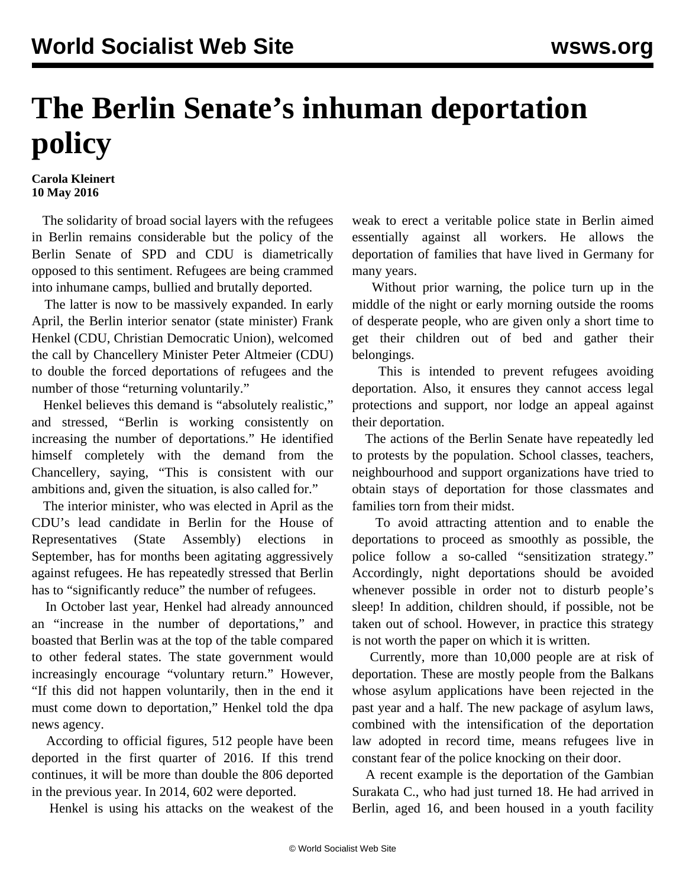## **The Berlin Senate's inhuman deportation policy**

**Carola Kleinert 10 May 2016**

 The solidarity of broad social layers with the refugees in Berlin remains considerable but the policy of the Berlin Senate of SPD and CDU is diametrically opposed to this sentiment. Refugees are being crammed into inhumane camps, bullied and brutally deported.

 The latter is now to be massively expanded. In early April, the Berlin interior senator (state minister) Frank Henkel (CDU, Christian Democratic Union), welcomed the call by Chancellery Minister Peter Altmeier (CDU) to double the forced deportations of refugees and the number of those "returning voluntarily."

 Henkel believes this demand is "absolutely realistic," and stressed, "Berlin is working consistently on increasing the number of deportations." He identified himself completely with the demand from the Chancellery, saying, "This is consistent with our ambitions and, given the situation, is also called for."

 The interior minister, who was elected in April as the CDU's lead candidate in Berlin for the House of Representatives (State Assembly) elections in September, has for months been agitating aggressively against refugees. He has repeatedly stressed that Berlin has to "significantly reduce" the number of refugees.

 In October last year, Henkel had already announced an "increase in the number of deportations," and boasted that Berlin was at the top of the table compared to other federal states. The state government would increasingly encourage "voluntary return." However, "If this did not happen voluntarily, then in the end it must come down to deportation," Henkel told the dpa news agency.

 According to official figures, 512 people have been deported in the first quarter of 2016. If this trend continues, it will be more than double the 806 deported in the previous year. In 2014, 602 were deported.

Henkel is using his attacks on the weakest of the

weak to erect a veritable police state in Berlin aimed essentially against all workers. He allows the deportation of families that have lived in Germany for many years.

 Without prior warning, the police turn up in the middle of the night or early morning outside the rooms of desperate people, who are given only a short time to get their children out of bed and gather their belongings.

 This is intended to prevent refugees avoiding deportation. Also, it ensures they cannot access legal protections and support, nor lodge an appeal against their deportation.

 The actions of the Berlin Senate have repeatedly led to protests by the population. School classes, teachers, neighbourhood and support organizations have tried to obtain stays of deportation for those classmates and families torn from their midst.

 To avoid attracting attention and to enable the deportations to proceed as smoothly as possible, the police follow a so-called "sensitization strategy." Accordingly, night deportations should be avoided whenever possible in order not to disturb people's sleep! In addition, children should, if possible, not be taken out of school. However, in practice this strategy is not worth the paper on which it is written.

 Currently, more than 10,000 people are at risk of deportation. These are mostly people from the Balkans whose asylum applications have been rejected in the past year and a half. The new package of asylum laws, combined with the intensification of the deportation law adopted in record time, means refugees live in constant fear of the police knocking on their door.

 A recent example is the deportation of the Gambian Surakata C., who had just turned 18. He had arrived in Berlin, aged 16, and been housed in a youth facility